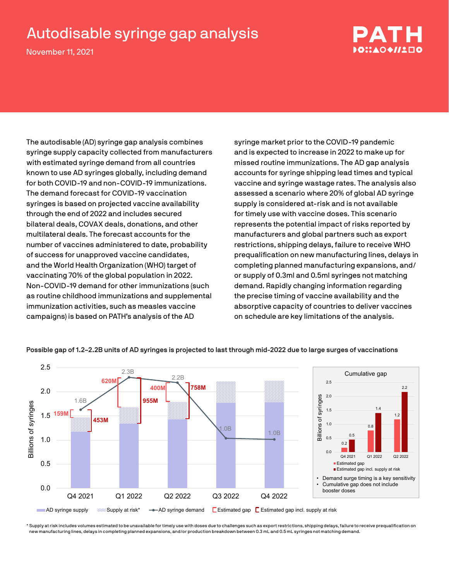## Autodisable syringe gap analysis

November 11, 2021



The autodisable (AD) syringe gap analysis combines syringe supply capacity collected from manufacturers with estimated syringe demand from all countries known to use AD syringes globally, including demand for both COVID-19 and non-COVID-19 immunizations. The demand forecast for COVID-19 vaccination syringes is based on projected vaccine availability through the end of 2022 and includes secured bilateral deals, COVAX deals, donations, and other multilateral deals. The forecast accounts for the number of vaccines administered to date, probability of success for unapproved vaccine candidates, and the World Health Organization (WHO) target of vaccinating 70% of the global population in 2022. Non-COVID-19 demand for other immunizations (such as routine childhood immunizations and supplemental immunization activities, such as measles vaccine campaigns) is based on PATH's analysis of the AD

syringe market prior to the COVID-19 pandemic and is expected to increase in 2022 to make up for missed routine immunizations. The AD gap analysis accounts for syringe shipping lead times and typical vaccine and syringe wastage rates. The analysis also assessed a scenario where 20% of global AD syringe supply is considered at-risk and is not available for timely use with vaccine doses. This scenario represents the potential impact of risks reported by manufacturers and global partners such as export restrictions, shipping delays, failure to receive WHO prequalification on new manufacturing lines, delays in completing planned manufacturing expansions, and/ or supply of 0.3ml and 0.5ml syringes not matching demand. Rapidly changing information regarding the precise timing of vaccine availability and the absorptive capacity of countries to deliver vaccines on schedule are key limitations of the analysis.



## **Possible gap of 1.2–2.2B units of AD syringes is projected to last through mid-2022 due to large surges of vaccinations**

\* Supply at risk includes volumes estimated to be unavailable for timely use with doses due to challenges such as export restrictions, shipping delays, failure to receive prequalification on new manufacturing lines, delays in completing planned expansions, and/or production breakdown between 0.3 mL and 0.5 mL syringes not matching demand.